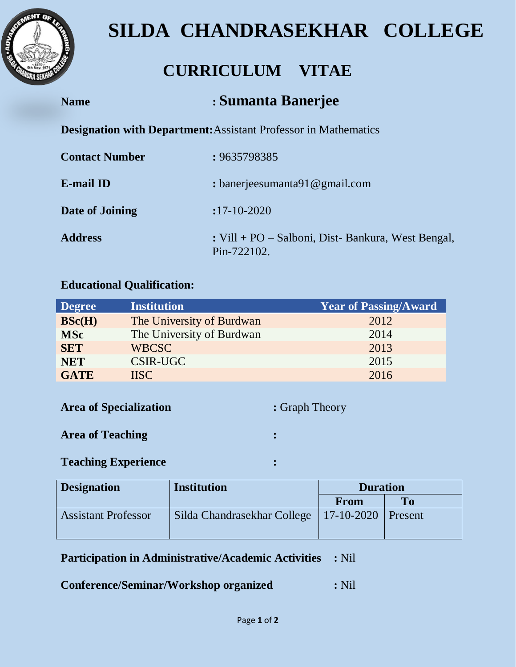

# **SILDA CHANDRASEKHAR COLLEGE**

# **CURRICULUM VITAE**

## **Name : Sumanta Banerjee**

**Designation with Department:**Assistant Professor in Mathematics

| <b>Contact Number</b> | : 9635798385                                                     |
|-----------------------|------------------------------------------------------------------|
| E-mail ID             | : banerjeesumanta91 $@$ gmail.com                                |
| Date of Joining       | $:17 - 10 - 2020$                                                |
| <b>Address</b>        | : Vill + PO – Salboni, Dist-Bankura, West Bengal,<br>Pin-722102. |

#### **Educational Qualification:**

| <b>Degree</b> | <b>Institution</b>        | <b>Year of Passing/Award</b> |
|---------------|---------------------------|------------------------------|
| BSc(H)        | The University of Burdwan | 2012                         |
| <b>MSc</b>    | The University of Burdwan | 2014                         |
| <b>SET</b>    | <b>WBCSC</b>              | 2013                         |
| <b>NET</b>    | CSIR-UGC                  | 2015                         |
| <b>GATE</b>   | <b>IISC</b>               | 2016                         |

**Area of Specialization :** Graph Theory

#### **Area of Teaching :**

#### **Teaching Experience :**

| <b>Designation</b>         | <b>Institution</b>          | <b>Duration</b>  |                |
|----------------------------|-----------------------------|------------------|----------------|
|                            |                             | From             | To To          |
| <b>Assistant Professor</b> | Silda Chandrasekhar College | $17 - 10 - 2020$ | <b>Present</b> |

**Participation in Administrative/Academic Activities :** Nil

**Conference/Seminar/Workshop organized :** Nil